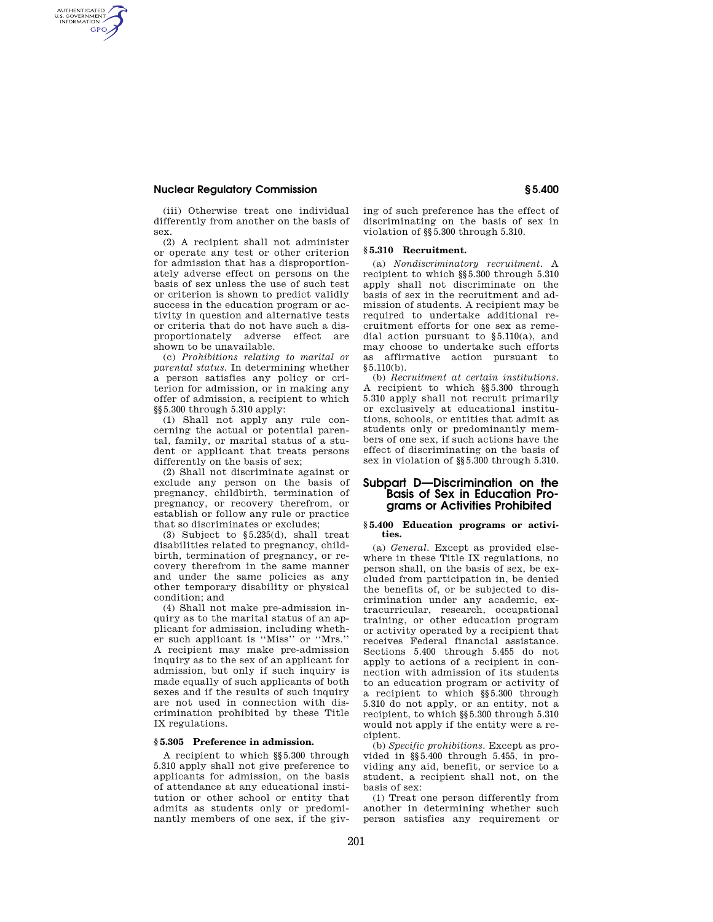### **Nuclear Regulatory Commission § 5.400**

AUTHENTICATED<br>U.S. GOVERNMENT<br>INFORMATION **GPO** 

> (iii) Otherwise treat one individual differently from another on the basis of sex.

> (2) A recipient shall not administer or operate any test or other criterion for admission that has a disproportionately adverse effect on persons on the basis of sex unless the use of such test or criterion is shown to predict validly success in the education program or activity in question and alternative tests or criteria that do not have such a disproportionately adverse effect are shown to be unavailable.

> (c) *Prohibitions relating to marital or parental status.* In determining whether a person satisfies any policy or criterion for admission, or in making any offer of admission, a recipient to which §§5.300 through 5.310 apply:

> (1) Shall not apply any rule concerning the actual or potential parental, family, or marital status of a student or applicant that treats persons differently on the basis of sex;

> (2) Shall not discriminate against or exclude any person on the basis of pregnancy, childbirth, termination of pregnancy, or recovery therefrom, or establish or follow any rule or practice that so discriminates or excludes;

> (3) Subject to §5.235(d), shall treat disabilities related to pregnancy, childbirth, termination of pregnancy, or recovery therefrom in the same manner and under the same policies as any other temporary disability or physical condition; and

> (4) Shall not make pre-admission inquiry as to the marital status of an applicant for admission, including whether such applicant is ''Miss'' or ''Mrs.'' A recipient may make pre-admission inquiry as to the sex of an applicant for admission, but only if such inquiry is made equally of such applicants of both sexes and if the results of such inquiry are not used in connection with discrimination prohibited by these Title IX regulations.

## **§ 5.305 Preference in admission.**

A recipient to which §§5.300 through 5.310 apply shall not give preference to applicants for admission, on the basis of attendance at any educational institution or other school or entity that admits as students only or predominantly members of one sex, if the giving of such preference has the effect of discriminating on the basis of sex in violation of §§5.300 through 5.310.

### **§ 5.310 Recruitment.**

(a) *Nondiscriminatory recruitment.* A recipient to which §§5.300 through 5.310 apply shall not discriminate on the basis of sex in the recruitment and admission of students. A recipient may be required to undertake additional recruitment efforts for one sex as remedial action pursuant to §5.110(a), and may choose to undertake such efforts as affirmative action pursuant to  $§ 5.110(b).$ 

(b) *Recruitment at certain institutions.*  A recipient to which §§5.300 through 5.310 apply shall not recruit primarily or exclusively at educational institutions, schools, or entities that admit as students only or predominantly members of one sex, if such actions have the effect of discriminating on the basis of sex in violation of §§5.300 through 5.310.

# **Subpart D—Discrimination on the Basis of Sex in Education Programs or Activities Prohibited**

#### **§ 5.400 Education programs or activities.**

(a) *General.* Except as provided elsewhere in these Title IX regulations, no person shall, on the basis of sex, be excluded from participation in, be denied the benefits of, or be subjected to discrimination under any academic, extracurricular, research, occupational training, or other education program or activity operated by a recipient that receives Federal financial assistance. Sections 5.400 through 5.455 do not apply to actions of a recipient in connection with admission of its students to an education program or activity of a recipient to which §§5.300 through 5.310 do not apply, or an entity, not a recipient, to which §§5.300 through 5.310 would not apply if the entity were a recipient.

(b) *Specific prohibitions.* Except as provided in §§5.400 through 5.455, in providing any aid, benefit, or service to a student, a recipient shall not, on the basis of sex:

(1) Treat one person differently from another in determining whether such person satisfies any requirement or